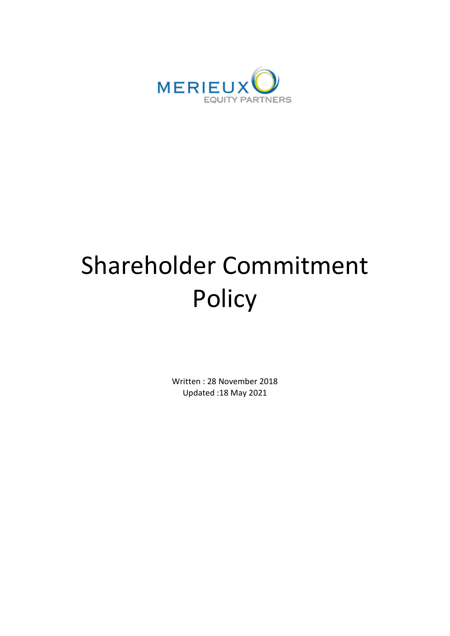

# Shareholder Commitment Policy

Written : 28 November 2018 Updated :18 May 2021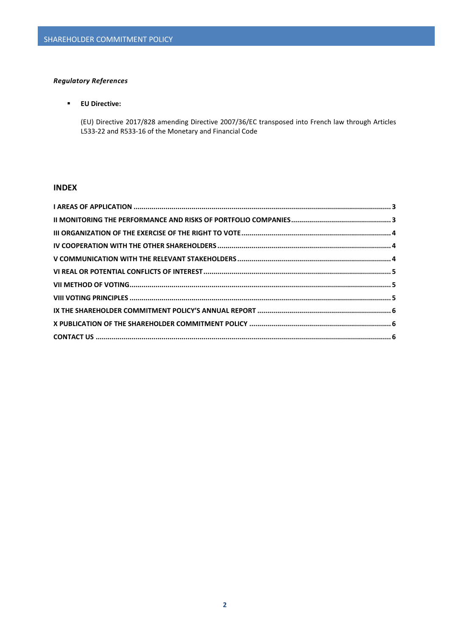# *Regulatory References*

# **EU Directive:**

(EU) Directive 2017/828 amending Directive 2007/36/EC transposed into French law through Articles L533-22 and R533-16 of the Monetary and Financial Code

# **INDEX**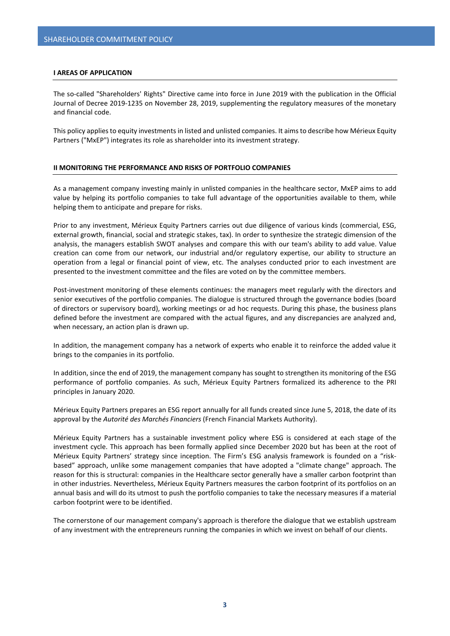### <span id="page-2-0"></span>**I AREAS OF APPLICATION**

The so-called "Shareholders' Rights" Directive came into force in June 2019 with the publication in the Official Journal of Decree 2019-1235 on November 28, 2019, supplementing the regulatory measures of the monetary and financial code.

This policy applies to equity investments in listed and unlisted companies. It aims to describe how Mérieux Equity Partners ("MxEP") integrates its role as shareholder into its investment strategy.

#### <span id="page-2-1"></span>**II MONITORING THE PERFORMANCE AND RISKS OF PORTFOLIO COMPANIES**

As a management company investing mainly in unlisted companies in the healthcare sector, MxEP aims to add value by helping its portfolio companies to take full advantage of the opportunities available to them, while helping them to anticipate and prepare for risks.

Prior to any investment, Mérieux Equity Partners carries out due diligence of various kinds (commercial, ESG, external growth, financial, social and strategic stakes, tax). In order to synthesize the strategic dimension of the analysis, the managers establish SWOT analyses and compare this with our team's ability to add value. Value creation can come from our network, our industrial and/or regulatory expertise, our ability to structure an operation from a legal or financial point of view, etc. The analyses conducted prior to each investment are presented to the investment committee and the files are voted on by the committee members.

Post-investment monitoring of these elements continues: the managers meet regularly with the directors and senior executives of the portfolio companies. The dialogue is structured through the governance bodies (board of directors or supervisory board), working meetings or ad hoc requests. During this phase, the business plans defined before the investment are compared with the actual figures, and any discrepancies are analyzed and, when necessary, an action plan is drawn up.

In addition, the management company has a network of experts who enable it to reinforce the added value it brings to the companies in its portfolio.

In addition, since the end of 2019, the management company has sought to strengthen its monitoring of the ESG performance of portfolio companies. As such, Mérieux Equity Partners formalized its adherence to the PRI principles in January 2020.

Mérieux Equity Partners prepares an ESG report annually for all funds created since June 5, 2018, the date of its approval by the *Autorité des Marchés Financiers* (French Financial Markets Authority).

Mérieux Equity Partners has a sustainable investment policy where ESG is considered at each stage of the investment cycle. This approach has been formally applied since December 2020 but has been at the root of Mérieux Equity Partners' strategy since inception. The Firm's ESG analysis framework is founded on a "riskbased" approach, unlike some management companies that have adopted a "climate change" approach. The reason for this is structural: companies in the Healthcare sector generally have a smaller carbon footprint than in other industries. Nevertheless, Mérieux Equity Partners measures the carbon footprint of its portfolios on an annual basis and will do its utmost to push the portfolio companies to take the necessary measures if a material carbon footprint were to be identified.

The cornerstone of our management company's approach is therefore the dialogue that we establish upstream of any investment with the entrepreneurs running the companies in which we invest on behalf of our clients.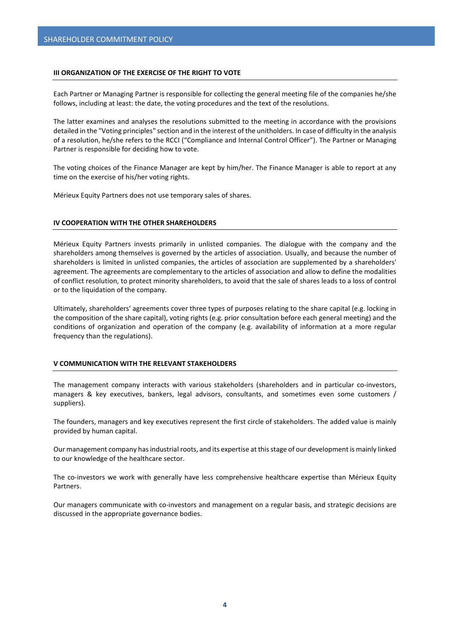# <span id="page-3-0"></span>**III ORGANIZATION OF THE EXERCISE OF THE RIGHT TO VOTE**

Each Partner or Managing Partner is responsible for collecting the general meeting file of the companies he/she follows, including at least: the date, the voting procedures and the text of the resolutions.

The latter examines and analyses the resolutions submitted to the meeting in accordance with the provisions detailed in the "Voting principles" section and in the interest of the unitholders. In case of difficulty in the analysis of a resolution, he/she refers to the RCCI ("Compliance and Internal Control Officer"). The Partner or Managing Partner is responsible for deciding how to vote.

The voting choices of the Finance Manager are kept by him/her. The Finance Manager is able to report at any time on the exercise of his/her voting rights.

Mérieux Equity Partners does not use temporary sales of shares.

## <span id="page-3-1"></span>**IV COOPERATION WITH THE OTHER SHAREHOLDERS**

Mérieux Equity Partners invests primarily in unlisted companies. The dialogue with the company and the shareholders among themselves is governed by the articles of association. Usually, and because the number of shareholders is limited in unlisted companies, the articles of association are supplemented by a shareholders' agreement. The agreements are complementary to the articles of association and allow to define the modalities of conflict resolution, to protect minority shareholders, to avoid that the sale of shares leads to a loss of control or to the liquidation of the company.

Ultimately, shareholders' agreements cover three types of purposes relating to the share capital (e.g. locking in the composition of the share capital), voting rights (e.g. prior consultation before each general meeting) and the conditions of organization and operation of the company (e.g. availability of information at a more regular frequency than the regulations).

## <span id="page-3-2"></span>**V COMMUNICATION WITH THE RELEVANT STAKEHOLDERS**

The management company interacts with various stakeholders (shareholders and in particular co-investors, managers & key executives, bankers, legal advisors, consultants, and sometimes even some customers / suppliers).

The founders, managers and key executives represent the first circle of stakeholders. The added value is mainly provided by human capital.

Our management company has industrial roots, and its expertise at this stage of our development is mainly linked to our knowledge of the healthcare sector.

The co-investors we work with generally have less comprehensive healthcare expertise than Mérieux Equity **Partners** 

Our managers communicate with co-investors and management on a regular basis, and strategic decisions are discussed in the appropriate governance bodies.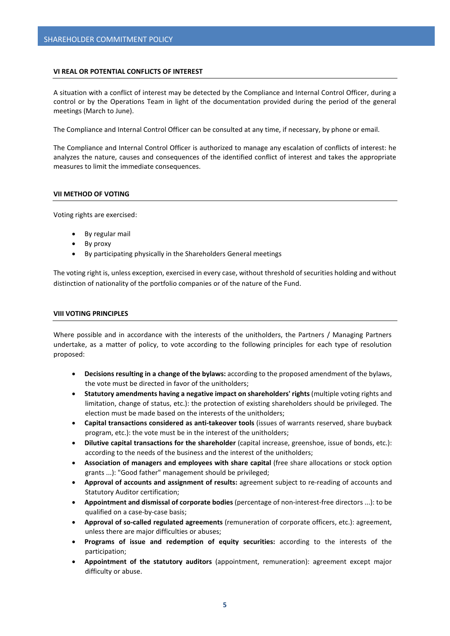# <span id="page-4-0"></span>**VI REAL OR POTENTIAL CONFLICTS OF INTEREST**

A situation with a conflict of interest may be detected by the Compliance and Internal Control Officer, during a control or by the Operations Team in light of the documentation provided during the period of the general meetings (March to June).

The Compliance and Internal Control Officer can be consulted at any time, if necessary, by phone or email.

The Compliance and Internal Control Officer is authorized to manage any escalation of conflicts of interest: he analyzes the nature, causes and consequences of the identified conflict of interest and takes the appropriate measures to limit the immediate consequences.

# <span id="page-4-1"></span>**VII METHOD OF VOTING**

Voting rights are exercised:

- By regular mail
- By proxy
- By participating physically in the Shareholders General meetings

The voting right is, unless exception, exercised in every case, without threshold of securities holding and without distinction of nationality of the portfolio companies or of the nature of the Fund.

## <span id="page-4-2"></span>**VIII VOTING PRINCIPLES**

Where possible and in accordance with the interests of the unitholders, the Partners / Managing Partners undertake, as a matter of policy, to vote according to the following principles for each type of resolution proposed:

- **Decisions resulting in a change of the bylaws:** according to the proposed amendment of the bylaws, the vote must be directed in favor of the unitholders;
- **Statutory amendments having a negative impact on shareholders' rights** (multiple voting rights and limitation, change of status, etc.): the protection of existing shareholders should be privileged. The election must be made based on the interests of the unitholders;
- **Capital transactions considered as anti-takeover tools** (issues of warrants reserved, share buyback program, etc.): the vote must be in the interest of the unitholders;
- **Dilutive capital transactions for the shareholder** (capital increase, greenshoe, issue of bonds, etc.): according to the needs of the business and the interest of the unitholders;
- **Association of managers and employees with share capital** (free share allocations or stock option grants ...): "Good father" management should be privileged;
- **Approval of accounts and assignment of results:** agreement subject to re-reading of accounts and Statutory Auditor certification;
- **Appointment and dismissal of corporate bodies** (percentage of non-interest-free directors ...): to be qualified on a case-by-case basis;
- **Approval of so-called regulated agreements** (remuneration of corporate officers, etc.): agreement, unless there are major difficulties or abuses;
- **Programs of issue and redemption of equity securities:** according to the interests of the participation;
- **Appointment of the statutory auditors** (appointment, remuneration): agreement except major difficulty or abuse.